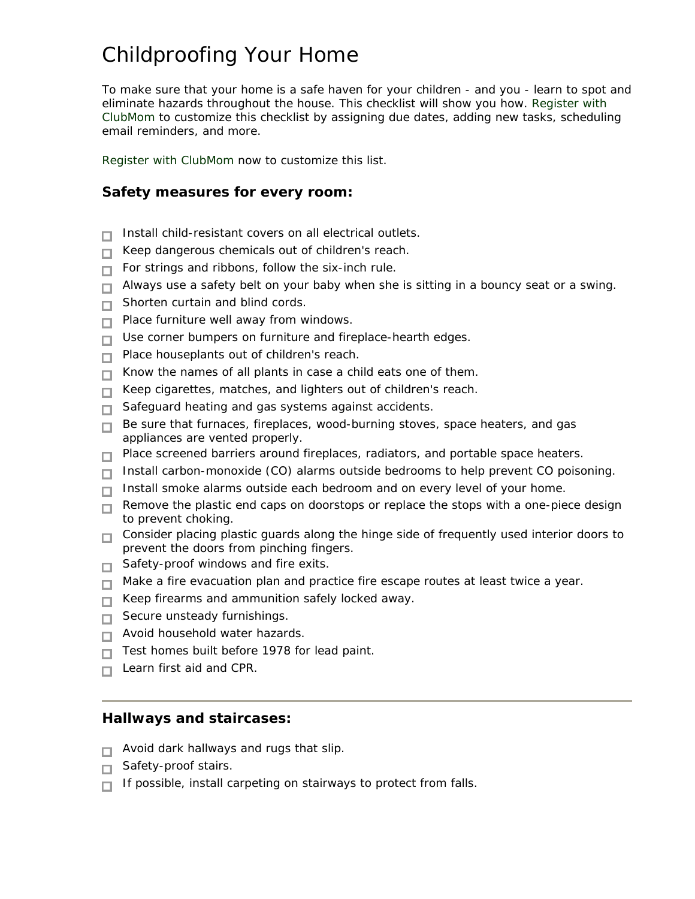# Childproofing Your Home

To make sure that your home is a safe haven for your children - and you - learn to spot and eliminate hazards throughout the house. This checklist will show you how. [Register with](http://www.clubmomlinks.com/e.asp?e=21&id=4392)  [ClubMom](http://www.clubmomlinks.com/e.asp?e=21&id=4392) to customize this checklist by assigning due dates, adding new tasks, scheduling email reminders, and more.

[Register with ClubMom](http://www.clubmomlinks.com/e.asp?e=21&id=4392) now to customize this list.

# **Safety measures for every room:**

- Install child-resistant covers on all electrical outlets. П
- Keep dangerous chemicals out of children's reach. П
- For strings and ribbons, follow the six-inch rule.  $\Box$
- $\Box$  Always use a safety belt on your baby when she is sitting in a bouncy seat or a swing.
- Shorten curtain and blind cords.  $\Box$
- $\Box$  Place furniture well away from windows.
- Use corner bumpers on furniture and fireplace-hearth edges. П.
- Place houseplants out of children's reach.  $\Box$
- Know the names of all plants in case a child eats one of them. П.
- Keep cigarettes, matches, and lighters out of children's reach.  $\Box$
- □ Safeguard heating and gas systems against accidents.
- Be sure that furnaces, fireplaces, wood-burning stoves, space heaters, and gas  $\Box$ appliances are vented properly.
- $\Box$  Place screened barriers around fireplaces, radiators, and portable space heaters.
- $\Box$  Install carbon-monoxide (CO) alarms outside bedrooms to help prevent CO poisoning.
- $\Box$  Install smoke alarms outside each bedroom and on every level of your home.
- Remove the plastic end caps on doorstops or replace the stops with a one-piece design П. to prevent choking.
- □ Consider placing plastic guards along the hinge side of frequently used interior doors to prevent the doors from pinching fingers.
- $\Box$  Safety-proof windows and fire exits.
- $\Box$  Make a fire evacuation plan and practice fire escape routes at least twice a year.
- $\Box$  Keep firearms and ammunition safely locked away.
- $\Box$  Secure unsteady furnishings.
- $\Box$  Avoid household water hazards.
- Test homes built before 1978 for lead paint. П
- $\Box$  Learn first aid and CPR.

### **Hallways and staircases:**

- $\Box$  Avoid dark hallways and rugs that slip.
- $\Box$  Safety-proof stairs.
- $\Box$  If possible, install carpeting on stairways to protect from falls.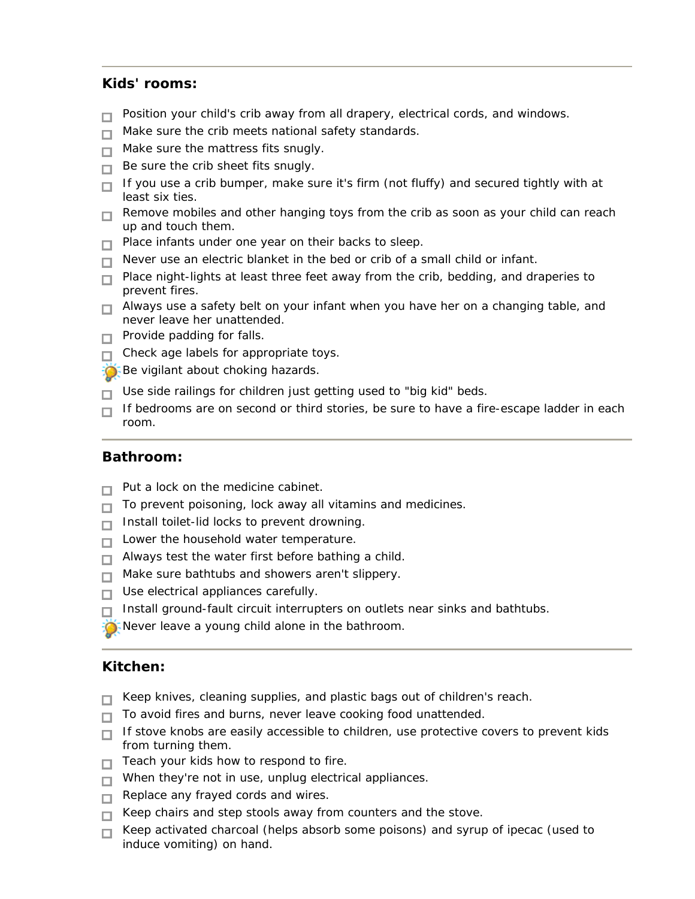# **Kids' rooms:**

- Position your child's crib away from all drapery, electrical cords, and windows. П
- Make sure the crib meets national safety standards. П.
- $\Box$  Make sure the mattress fits snugly.
- $\Box$  Be sure the crib sheet fits snugly.
- $\Box$  If you use a crib bumper, make sure it's firm (not fluffy) and secured tightly with at least six ties.
- $\Box$  Remove mobiles and other hanging toys from the crib as soon as your child can reach up and touch them.
- $\Box$  Place infants under one year on their backs to sleep.
- $\Box$  Never use an electric blanket in the bed or crib of a small child or infant.
- $\Box$  Place night-lights at least three feet away from the crib, bedding, and draperies to prevent fires.
- $\Box$  Always use a safety belt on your infant when you have her on a changing table, and never leave her unattended.
- $\Box$  Provide padding for falls.
- $\Box$  Check age labels for appropriate toys.
- Be vigilant about choking hazards.
- Use side railings for children just getting used to "big kid" beds. П.
- $\Box$  If bedrooms are on second or third stories, be sure to have a fire-escape ladder in each room.

#### **Bathroom:**

- Put a lock on the medicine cabinet. П
- To prevent poisoning, lock away all vitamins and medicines. П
- Install toilet-lid locks to prevent drowning. п
- $\Box$  Lower the household water temperature.
- $\Box$  Always test the water first before bathing a child.
- Make sure bathtubs and showers aren't slippery. П.
- Use electrical appliances carefully.  $\Box$
- Install ground-fault circuit interrupters on outlets near sinks and bathtubs. П
- Never leave a young child alone in the bathroom.

#### **Kitchen:**

- Keep knives, cleaning supplies, and plastic bags out of children's reach. ш
- $\Box$  To avoid fires and burns, never leave cooking food unattended.
- $\Box$  If stove knobs are easily accessible to children, use protective covers to prevent kids from turning them.
- $\Box$  Teach your kids how to respond to fire.
- $\Box$  When they're not in use, unplug electrical appliances.
- Replace any frayed cords and wires.
- $\Box$  Keep chairs and step stools away from counters and the stove.
- Keep activated charcoal (helps absorb some poisons) and syrup of ipecac (used to п. induce vomiting) on hand.